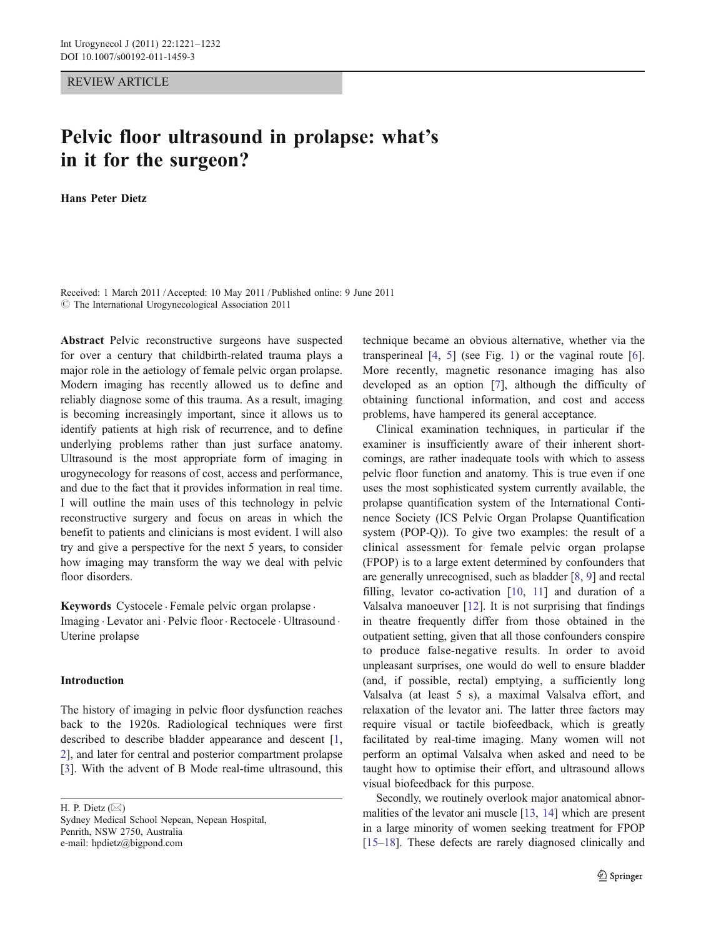REVIEW ARTICLE

# Pelvic floor ultrasound in prolapse: what's in it for the surgeon?

Hans Peter Dietz

Received: 1 March 2011 /Accepted: 10 May 2011 / Published online: 9 June 2011  $\circ$  The International Urogynecological Association 2011

Abstract Pelvic reconstructive surgeons have suspected for over a century that childbirth-related trauma plays a major role in the aetiology of female pelvic organ prolapse. Modern imaging has recently allowed us to define and reliably diagnose some of this trauma. As a result, imaging is becoming increasingly important, since it allows us to identify patients at high risk of recurrence, and to define underlying problems rather than just surface anatomy. Ultrasound is the most appropriate form of imaging in urogynecology for reasons of cost, access and performance, and due to the fact that it provides information in real time. I will outline the main uses of this technology in pelvic reconstructive surgery and focus on areas in which the benefit to patients and clinicians is most evident. I will also try and give a perspective for the next 5 years, to consider how imaging may transform the way we deal with pelvic floor disorders.

Keywords Cystocele . Female pelvic organ prolapse .

Imaging . Levator ani . Pelvic floor. Rectocele . Ultrasound . Uterine prolapse

# Introduction

The history of imaging in pelvic floor dysfunction reaches back to the 1920s. Radiological techniques were first described to describe bladder appearance and descent [[1,](#page-9-0) [2](#page-9-0)], and later for central and posterior compartment prolapse [\[3](#page-9-0)]. With the advent of B Mode real-time ultrasound, this

H. P. Dietz  $(\boxtimes)$ Sydney Medical School Nepean, Nepean Hospital, Penrith, NSW 2750, Australia e-mail: hpdietz@bigpond.com

technique became an obvious alternative, whether via the transperineal  $[4, 5]$  $[4, 5]$  $[4, 5]$  $[4, 5]$  (see Fig. [1\)](#page-1-0) or the vaginal route  $[6]$  $[6]$ . More recently, magnetic resonance imaging has also developed as an option [[7\]](#page-9-0), although the difficulty of obtaining functional information, and cost and access problems, have hampered its general acceptance.

Clinical examination techniques, in particular if the examiner is insufficiently aware of their inherent shortcomings, are rather inadequate tools with which to assess pelvic floor function and anatomy. This is true even if one uses the most sophisticated system currently available, the prolapse quantification system of the International Continence Society (ICS Pelvic Organ Prolapse Quantification system (POP-Q)). To give two examples: the result of a clinical assessment for female pelvic organ prolapse (FPOP) is to a large extent determined by confounders that are generally unrecognised, such as bladder [[8,](#page-9-0) [9\]](#page-9-0) and rectal filling, levator co-activation [\[10](#page-9-0), [11\]](#page-9-0) and duration of a Valsalva manoeuver [\[12](#page-10-0)]. It is not surprising that findings in theatre frequently differ from those obtained in the outpatient setting, given that all those confounders conspire to produce false-negative results. In order to avoid unpleasant surprises, one would do well to ensure bladder (and, if possible, rectal) emptying, a sufficiently long Valsalva (at least 5 s), a maximal Valsalva effort, and relaxation of the levator ani. The latter three factors may require visual or tactile biofeedback, which is greatly facilitated by real-time imaging. Many women will not perform an optimal Valsalva when asked and need to be taught how to optimise their effort, and ultrasound allows visual biofeedback for this purpose.

Secondly, we routinely overlook major anatomical abnormalities of the levator ani muscle [\[13,](#page-10-0) [14\]](#page-10-0) which are present in a large minority of women seeking treatment for FPOP [\[15](#page-10-0)–[18\]](#page-10-0). These defects are rarely diagnosed clinically and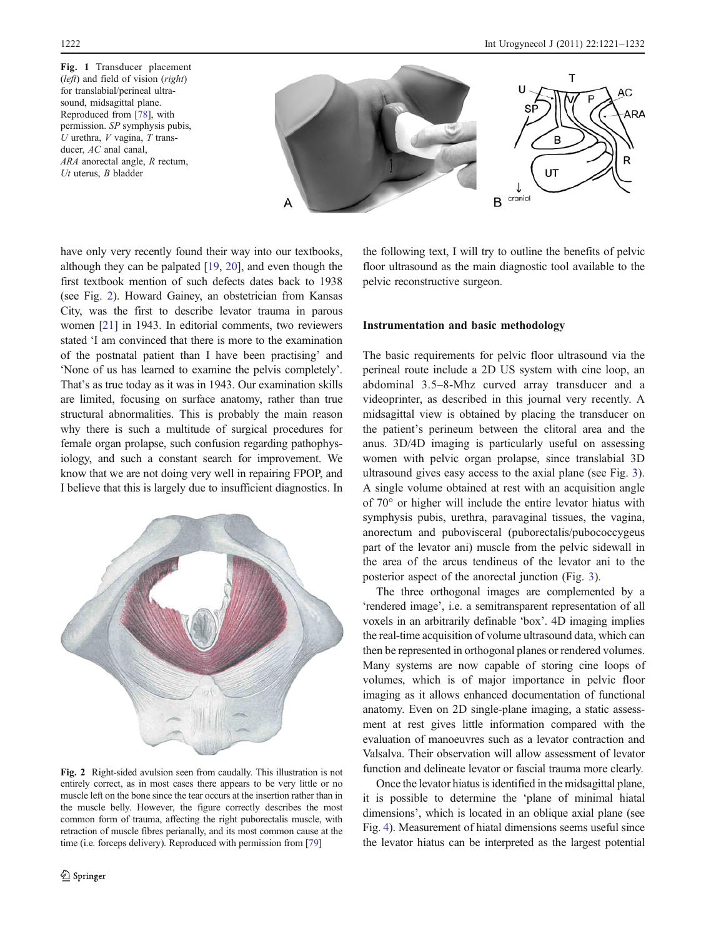<span id="page-1-0"></span>Fig. 1 Transducer placement (*left*) and field of vision (*right*) for translabial/perineal ultrasound, midsagittal plane. Reproduced from [\[78\]](#page-11-0), with permission. SP symphysis pubis,  $U$  urethra,  $V$  vagina,  $T$  transducer,  $AC$  anal canal, ARA anorectal angle, R rectum,  $Ut$  uterus,  $B$  bladder



have only very recently found their way into our textbooks, although they can be palpated [\[19,](#page-10-0) [20](#page-10-0)], and even though the first textbook mention of such defects dates back to 1938 (see Fig. 2). Howard Gainey, an obstetrician from Kansas City, was the first to describe levator trauma in parous women [[21](#page-10-0)] in 1943. In editorial comments, two reviewers stated 'I am convinced that there is more to the examination of the postnatal patient than I have been practising' and 'None of us has learned to examine the pelvis completely'. That's as true today as it was in 1943. Our examination skills are limited, focusing on surface anatomy, rather than true structural abnormalities. This is probably the main reason why there is such a multitude of surgical procedures for female organ prolapse, such confusion regarding pathophysiology, and such a constant search for improvement. We know that we are not doing very well in repairing FPOP, and I believe that this is largely due to insufficient diagnostics. In



Fig. 2 Right-sided avulsion seen from caudally. This illustration is not entirely correct, as in most cases there appears to be very little or no muscle left on the bone since the tear occurs at the insertion rather than in the muscle belly. However, the figure correctly describes the most common form of trauma, affecting the right puborectalis muscle, with retraction of muscle fibres perianally, and its most common cause at the time (i.e. forceps delivery). Reproduced with permission from [\[79\]](#page-11-0)

the following text, I will try to outline the benefits of pelvic floor ultrasound as the main diagnostic tool available to the pelvic reconstructive surgeon.

# Instrumentation and basic methodology

The basic requirements for pelvic floor ultrasound via the perineal route include a 2D US system with cine loop, an abdominal 3.5–8-Mhz curved array transducer and a videoprinter, as described in this journal very recently. A midsagittal view is obtained by placing the transducer on the patient's perineum between the clitoral area and the anus. 3D/4D imaging is particularly useful on assessing women with pelvic organ prolapse, since translabial 3D ultrasound gives easy access to the axial plane (see Fig. [3\)](#page-2-0). A single volume obtained at rest with an acquisition angle of 70° or higher will include the entire levator hiatus with symphysis pubis, urethra, paravaginal tissues, the vagina, anorectum and pubovisceral (puborectalis/pubococcygeus part of the levator ani) muscle from the pelvic sidewall in the area of the arcus tendineus of the levator ani to the posterior aspect of the anorectal junction (Fig. [3\)](#page-2-0).

The three orthogonal images are complemented by a 'rendered image', i.e. a semitransparent representation of all voxels in an arbitrarily definable 'box'. 4D imaging implies the real-time acquisition of volume ultrasound data, which can then be represented in orthogonal planes or rendered volumes. Many systems are now capable of storing cine loops of volumes, which is of major importance in pelvic floor imaging as it allows enhanced documentation of functional anatomy. Even on 2D single-plane imaging, a static assessment at rest gives little information compared with the evaluation of manoeuvres such as a levator contraction and Valsalva. Their observation will allow assessment of levator function and delineate levator or fascial trauma more clearly.

Once the levator hiatus is identified in the midsagittal plane, it is possible to determine the 'plane of minimal hiatal dimensions', which is located in an oblique axial plane (see Fig. [4](#page-2-0)). Measurement of hiatal dimensions seems useful since the levator hiatus can be interpreted as the largest potential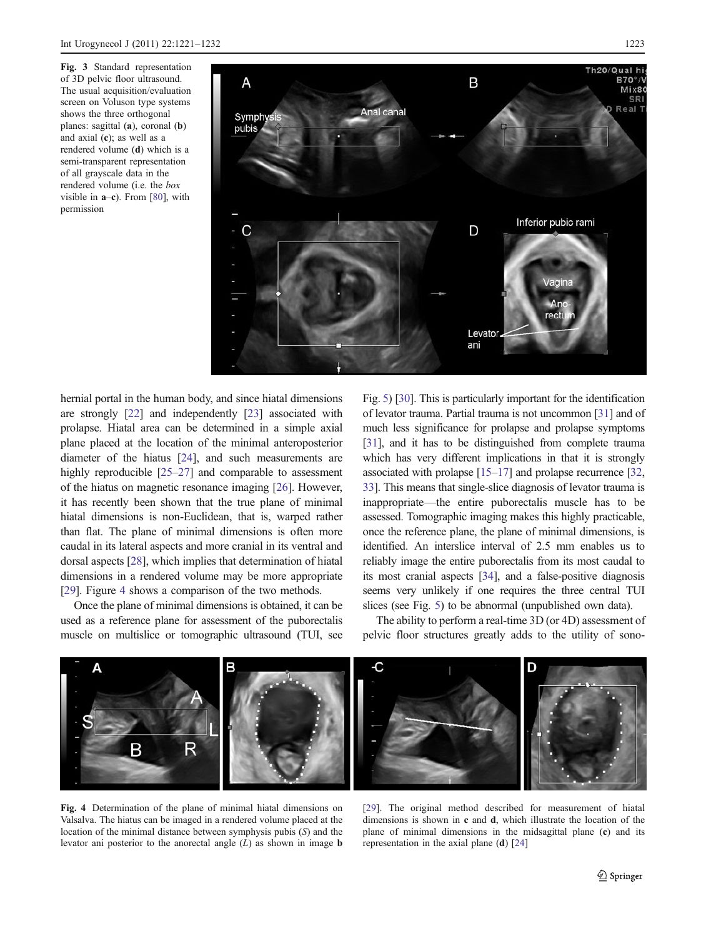<span id="page-2-0"></span>Fig. 3 Standard representation of 3D pelvic floor ultrasound. The usual acquisition/evaluation screen on Voluson type systems shows the three orthogonal planes: sagittal (a), coronal (b) and axial (c); as well as a rendered volume (d) which is a semi-transparent representation of all grayscale data in the rendered volume (i.e. the box visible in  $a-c$ ). From [[80](#page-11-0)], with permission



hernial portal in the human body, and since hiatal dimensions are strongly [\[22\]](#page-10-0) and independently [[23\]](#page-10-0) associated with prolapse. Hiatal area can be determined in a simple axial plane placed at the location of the minimal anteroposterior diameter of the hiatus [[24\]](#page-10-0), and such measurements are highly reproducible [[25](#page-10-0)–[27](#page-10-0)] and comparable to assessment of the hiatus on magnetic resonance imaging [\[26\]](#page-10-0). However, it has recently been shown that the true plane of minimal hiatal dimensions is non-Euclidean, that is, warped rather than flat. The plane of minimal dimensions is often more caudal in its lateral aspects and more cranial in its ventral and dorsal aspects [\[28\]](#page-10-0), which implies that determination of hiatal dimensions in a rendered volume may be more appropriate [\[29\]](#page-10-0). Figure 4 shows a comparison of the two methods.

Once the plane of minimal dimensions is obtained, it can be used as a reference plane for assessment of the puborectalis muscle on multislice or tomographic ultrasound (TUI, see Fig. [5\)](#page-3-0) [\[30\]](#page-10-0). This is particularly important for the identification of levator trauma. Partial trauma is not uncommon [[31](#page-10-0)] and of much less significance for prolapse and prolapse symptoms [\[31\]](#page-10-0), and it has to be distinguished from complete trauma which has very different implications in that it is strongly associated with prolapse [\[15](#page-10-0)–[17](#page-10-0)] and prolapse recurrence [\[32,](#page-10-0) [33\]](#page-10-0). This means that single-slice diagnosis of levator trauma is inappropriate—the entire puborectalis muscle has to be assessed. Tomographic imaging makes this highly practicable, once the reference plane, the plane of minimal dimensions, is identified. An interslice interval of 2.5 mm enables us to reliably image the entire puborectalis from its most caudal to its most cranial aspects [\[34\]](#page-10-0), and a false-positive diagnosis seems very unlikely if one requires the three central TUI slices (see Fig. [5\)](#page-3-0) to be abnormal (unpublished own data).

The ability to perform a real-time 3D (or 4D) assessment of pelvic floor structures greatly adds to the utility of sono-



Fig. 4 Determination of the plane of minimal hiatal dimensions on Valsalva. The hiatus can be imaged in a rendered volume placed at the location of the minimal distance between symphysis pubis (S) and the levator ani posterior to the anorectal angle  $(L)$  as shown in image **b** 

[[29](#page-10-0)]. The original method described for measurement of hiatal dimensions is shown in c and d, which illustrate the location of the plane of minimal dimensions in the midsagittal plane (c) and its representation in the axial plane (d) [\[24\]](#page-10-0)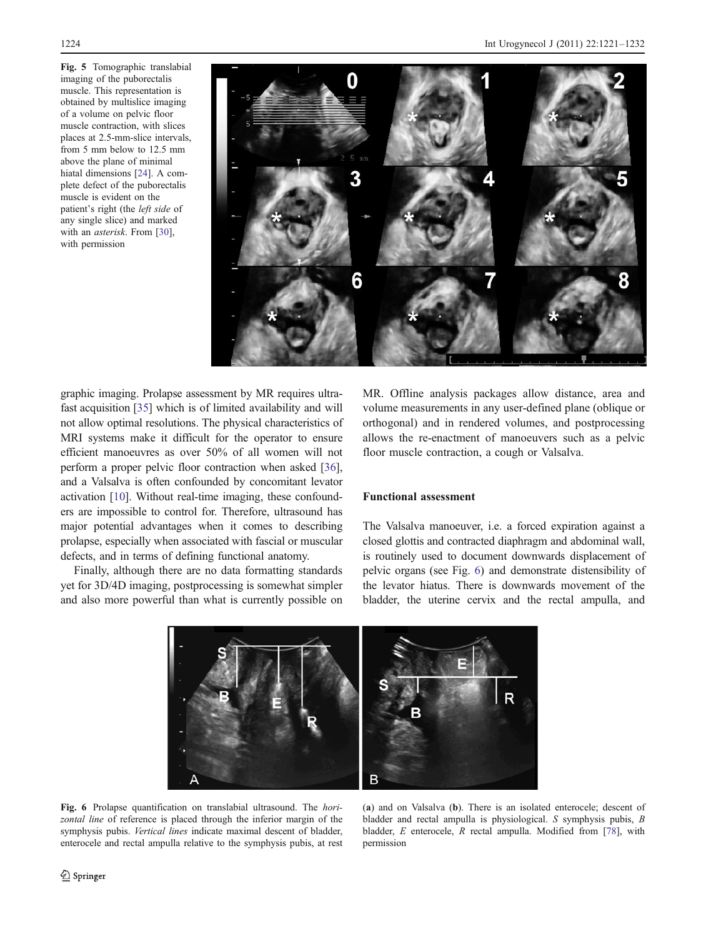<span id="page-3-0"></span>Fig. 5 Tomographic translabial imaging of the puborectalis muscle. This representation is obtained by multislice imaging of a volume on pelvic floor muscle contraction, with slices places at 2.5-mm-slice intervals, from 5 mm below to 12.5 mm above the plane of minimal hiatal dimensions [\[24\]](#page-10-0). A complete defect of the puborectalis muscle is evident on the patient's right (the left side of any single slice) and marked with an asterisk. From [\[30\]](#page-10-0), with permission



graphic imaging. Prolapse assessment by MR requires ultrafast acquisition [[35](#page-10-0)] which is of limited availability and will not allow optimal resolutions. The physical characteristics of MRI systems make it difficult for the operator to ensure efficient manoeuvres as over 50% of all women will not perform a proper pelvic floor contraction when asked [[36\]](#page-10-0), and a Valsalva is often confounded by concomitant levator activation [[10\]](#page-9-0). Without real-time imaging, these confounders are impossible to control for. Therefore, ultrasound has major potential advantages when it comes to describing prolapse, especially when associated with fascial or muscular defects, and in terms of defining functional anatomy.

Finally, although there are no data formatting standards yet for 3D/4D imaging, postprocessing is somewhat simpler and also more powerful than what is currently possible on MR. Offline analysis packages allow distance, area and volume measurements in any user-defined plane (oblique or orthogonal) and in rendered volumes, and postprocessing allows the re-enactment of manoeuvers such as a pelvic floor muscle contraction, a cough or Valsalva.

## Functional assessment

The Valsalva manoeuver, i.e. a forced expiration against a closed glottis and contracted diaphragm and abdominal wall, is routinely used to document downwards displacement of pelvic organs (see Fig. 6) and demonstrate distensibility of the levator hiatus. There is downwards movement of the bladder, the uterine cervix and the rectal ampulla, and



Fig. 6 Prolapse quantification on translabial ultrasound. The *hori*zontal line of reference is placed through the inferior margin of the symphysis pubis. Vertical lines indicate maximal descent of bladder, enterocele and rectal ampulla relative to the symphysis pubis, at rest

(a) and on Valsalva (b). There is an isolated enterocele; descent of bladder and rectal ampulla is physiological. S symphysis pubis, B bladder, E enterocele, R rectal ampulla. Modified from [[78](#page-11-0)], with permission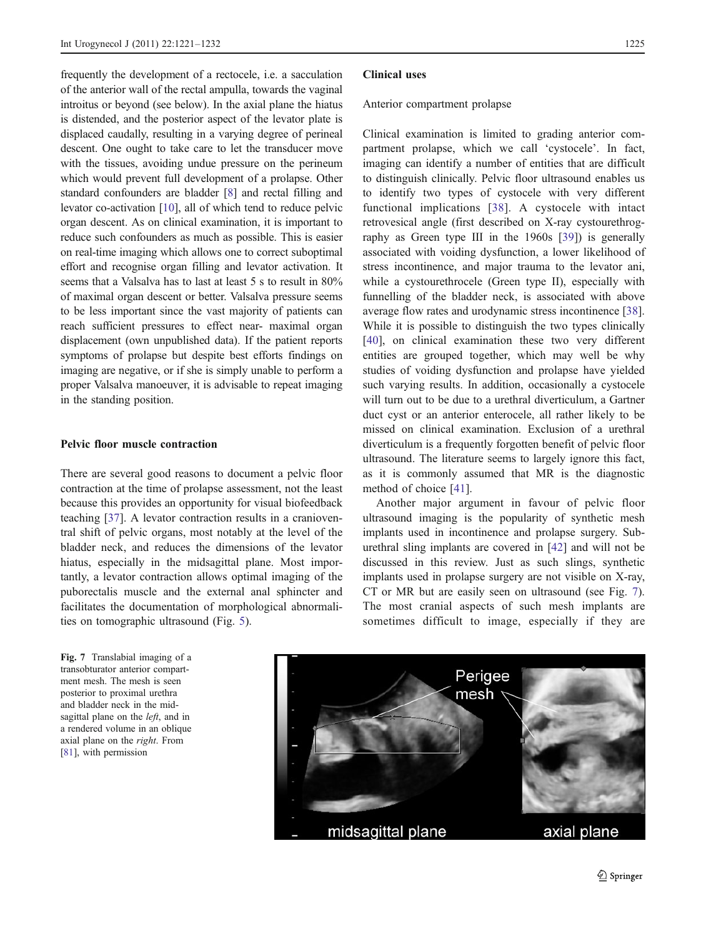frequently the development of a rectocele, i.e. a sacculation of the anterior wall of the rectal ampulla, towards the vaginal introitus or beyond (see below). In the axial plane the hiatus is distended, and the posterior aspect of the levator plate is displaced caudally, resulting in a varying degree of perineal descent. One ought to take care to let the transducer move with the tissues, avoiding undue pressure on the perineum which would prevent full development of a prolapse. Other standard confounders are bladder [[8\]](#page-9-0) and rectal filling and levator co-activation [\[10](#page-9-0)], all of which tend to reduce pelvic organ descent. As on clinical examination, it is important to reduce such confounders as much as possible. This is easier on real-time imaging which allows one to correct suboptimal effort and recognise organ filling and levator activation. It seems that a Valsalva has to last at least 5 s to result in  $80\%$ of maximal organ descent or better. Valsalva pressure seems to be less important since the vast majority of patients can reach sufficient pressures to effect near- maximal organ displacement (own unpublished data). If the patient reports symptoms of prolapse but despite best efforts findings on imaging are negative, or if she is simply unable to perform a proper Valsalva manoeuver, it is advisable to repeat imaging in the standing position.

### Pelvic floor muscle contraction

There are several good reasons to document a pelvic floor contraction at the time of prolapse assessment, not the least because this provides an opportunity for visual biofeedback teaching [\[37](#page-10-0)]. A levator contraction results in a cranioventral shift of pelvic organs, most notably at the level of the bladder neck, and reduces the dimensions of the levator hiatus, especially in the midsagittal plane. Most importantly, a levator contraction allows optimal imaging of the puborectalis muscle and the external anal sphincter and facilitates the documentation of morphological abnormalities on tomographic ultrasound (Fig. [5\)](#page-3-0).

Fig. 7 Translabial imaging of a transobturator anterior compartment mesh. The mesh is seen posterior to proximal urethra and bladder neck in the midsagittal plane on the *left*, and in a rendered volume in an oblique axial plane on the right. From [[81](#page-11-0)], with permission

#### Clinical uses

#### Anterior compartment prolapse

Clinical examination is limited to grading anterior compartment prolapse, which we call 'cystocele'. In fact, imaging can identify a number of entities that are difficult to distinguish clinically. Pelvic floor ultrasound enables us to identify two types of cystocele with very different functional implications [\[38\]](#page-10-0). A cystocele with intact retrovesical angle (first described on X-ray cystourethrography as Green type III in the 1960s [[39\]](#page-10-0)) is generally associated with voiding dysfunction, a lower likelihood of stress incontinence, and major trauma to the levator ani, while a cystourethrocele (Green type II), especially with funnelling of the bladder neck, is associated with above average flow rates and urodynamic stress incontinence [[38\]](#page-10-0). While it is possible to distinguish the two types clinically [\[40](#page-10-0)], on clinical examination these two very different entities are grouped together, which may well be why studies of voiding dysfunction and prolapse have yielded such varying results. In addition, occasionally a cystocele will turn out to be due to a urethral diverticulum, a Gartner duct cyst or an anterior enterocele, all rather likely to be missed on clinical examination. Exclusion of a urethral diverticulum is a frequently forgotten benefit of pelvic floor ultrasound. The literature seems to largely ignore this fact, as it is commonly assumed that MR is the diagnostic method of choice [[41\]](#page-10-0).

Another major argument in favour of pelvic floor ultrasound imaging is the popularity of synthetic mesh implants used in incontinence and prolapse surgery. Suburethral sling implants are covered in [\[42](#page-10-0)] and will not be discussed in this review. Just as such slings, synthetic implants used in prolapse surgery are not visible on X-ray, CT or MR but are easily seen on ultrasound (see Fig. 7). The most cranial aspects of such mesh implants are sometimes difficult to image, especially if they are

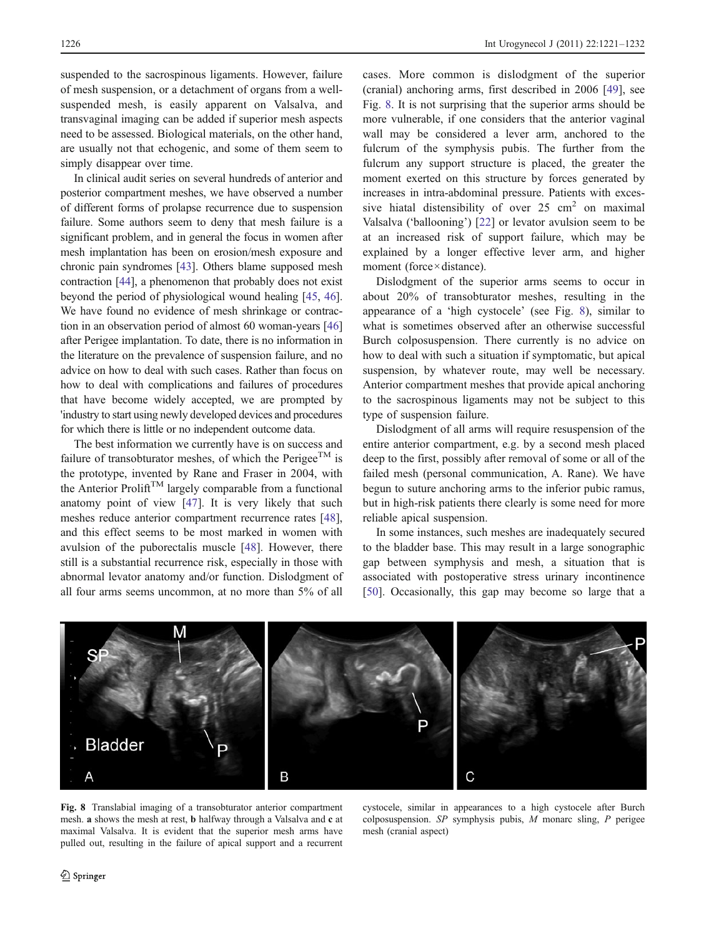suspended to the sacrospinous ligaments. However, failure of mesh suspension, or a detachment of organs from a wellsuspended mesh, is easily apparent on Valsalva, and transvaginal imaging can be added if superior mesh aspects need to be assessed. Biological materials, on the other hand, are usually not that echogenic, and some of them seem to simply disappear over time.

In clinical audit series on several hundreds of anterior and posterior compartment meshes, we have observed a number of different forms of prolapse recurrence due to suspension failure. Some authors seem to deny that mesh failure is a significant problem, and in general the focus in women after mesh implantation has been on erosion/mesh exposure and chronic pain syndromes [[43\]](#page-10-0). Others blame supposed mesh contraction [[44](#page-10-0)], a phenomenon that probably does not exist beyond the period of physiological wound healing [\[45,](#page-10-0) [46\]](#page-10-0). We have found no evidence of mesh shrinkage or contraction in an observation period of almost 60 woman-years [\[46\]](#page-10-0) after Perigee implantation. To date, there is no information in the literature on the prevalence of suspension failure, and no advice on how to deal with such cases. Rather than focus on how to deal with complications and failures of procedures that have become widely accepted, we are prompted by 'industry to start using newly developed devices and procedures for which there is little or no independent outcome data.

The best information we currently have is on success and failure of transobturator meshes, of which the Perigee<sup>TM</sup> is the prototype, invented by Rane and Fraser in 2004, with the Anterior Prolift<sup>TM</sup> largely comparable from a functional anatomy point of view [[47\]](#page-10-0). It is very likely that such meshes reduce anterior compartment recurrence rates [\[48](#page-10-0)], and this effect seems to be most marked in women with avulsion of the puborectalis muscle [\[48](#page-10-0)]. However, there still is a substantial recurrence risk, especially in those with abnormal levator anatomy and/or function. Dislodgment of all four arms seems uncommon, at no more than 5% of all

cases. More common is dislodgment of the superior (cranial) anchoring arms, first described in 2006 [\[49](#page-10-0)], see Fig. 8. It is not surprising that the superior arms should be more vulnerable, if one considers that the anterior vaginal wall may be considered a lever arm, anchored to the fulcrum of the symphysis pubis. The further from the fulcrum any support structure is placed, the greater the moment exerted on this structure by forces generated by increases in intra-abdominal pressure. Patients with excessive hiatal distensibility of over  $25 \text{ cm}^2$  on maximal Valsalva ('ballooning') [\[22](#page-10-0)] or levator avulsion seem to be at an increased risk of support failure, which may be explained by a longer effective lever arm, and higher moment (force×distance).

Dislodgment of the superior arms seems to occur in about 20% of transobturator meshes, resulting in the appearance of a 'high cystocele' (see Fig. 8), similar to what is sometimes observed after an otherwise successful Burch colposuspension. There currently is no advice on how to deal with such a situation if symptomatic, but apical suspension, by whatever route, may well be necessary. Anterior compartment meshes that provide apical anchoring to the sacrospinous ligaments may not be subject to this type of suspension failure.

Dislodgment of all arms will require resuspension of the entire anterior compartment, e.g. by a second mesh placed deep to the first, possibly after removal of some or all of the failed mesh (personal communication, A. Rane). We have begun to suture anchoring arms to the inferior pubic ramus, but in high-risk patients there clearly is some need for more reliable apical suspension.

In some instances, such meshes are inadequately secured to the bladder base. This may result in a large sonographic gap between symphysis and mesh, a situation that is associated with postoperative stress urinary incontinence [\[50](#page-10-0)]. Occasionally, this gap may become so large that a



Fig. 8 Translabial imaging of a transobturator anterior compartment mesh. a shows the mesh at rest, b halfway through a Valsalva and c at maximal Valsalva. It is evident that the superior mesh arms have pulled out, resulting in the failure of apical support and a recurrent

cystocele, similar in appearances to a high cystocele after Burch colposuspension.  $SP$  symphysis pubis, M monarc sling, P perigee mesh (cranial aspect)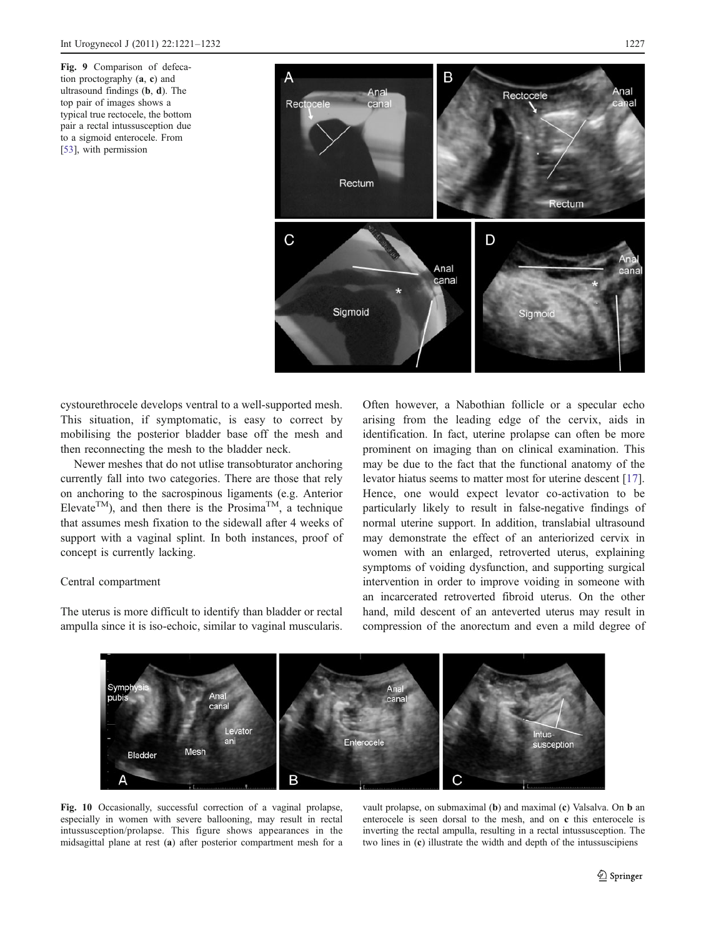<span id="page-6-0"></span>Fig. 9 Comparison of defecation proctography (a, c) and ultrasound findings (b, d). The top pair of images shows a typical true rectocele, the bottom pair a rectal intussusception due to a sigmoid enterocele. From [[53](#page-10-0)], with permission



cystourethrocele develops ventral to a well-supported mesh. This situation, if symptomatic, is easy to correct by mobilising the posterior bladder base off the mesh and then reconnecting the mesh to the bladder neck.

Newer meshes that do not utlise transobturator anchoring currently fall into two categories. There are those that rely on anchoring to the sacrospinous ligaments (e.g. Anterior Elevate<sup>TM</sup>), and then there is the Prosima<sup>TM</sup>, a technique that assumes mesh fixation to the sidewall after 4 weeks of support with a vaginal splint. In both instances, proof of concept is currently lacking.

## Central compartment

The uterus is more difficult to identify than bladder or rectal ampulla since it is iso-echoic, similar to vaginal muscularis.

Often however, a Nabothian follicle or a specular echo arising from the leading edge of the cervix, aids in identification. In fact, uterine prolapse can often be more prominent on imaging than on clinical examination. This may be due to the fact that the functional anatomy of the levator hiatus seems to matter most for uterine descent [[17\]](#page-10-0). Hence, one would expect levator co-activation to be particularly likely to result in false-negative findings of normal uterine support. In addition, translabial ultrasound may demonstrate the effect of an anteriorized cervix in women with an enlarged, retroverted uterus, explaining symptoms of voiding dysfunction, and supporting surgical intervention in order to improve voiding in someone with an incarcerated retroverted fibroid uterus. On the other hand, mild descent of an anteverted uterus may result in compression of the anorectum and even a mild degree of



Fig. 10 Occasionally, successful correction of a vaginal prolapse, especially in women with severe ballooning, may result in rectal intussusception/prolapse. This figure shows appearances in the midsagittal plane at rest (a) after posterior compartment mesh for a

vault prolapse, on submaximal (b) and maximal (c) Valsalva. On b an enterocele is seen dorsal to the mesh, and on c this enterocele is inverting the rectal ampulla, resulting in a rectal intussusception. The two lines in (c) illustrate the width and depth of the intussuscipiens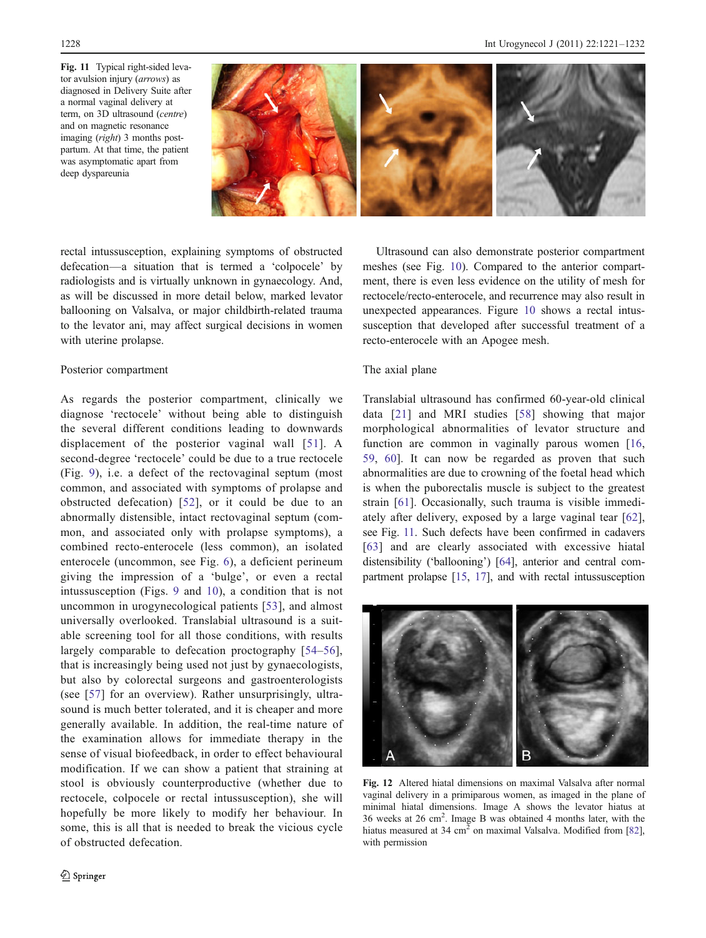<span id="page-7-0"></span>Fig. 11 Typical right-sided levator avulsion injury (arrows) as diagnosed in Delivery Suite after a normal vaginal delivery at term, on 3D ultrasound (centre) and on magnetic resonance imaging (right) 3 months postpartum. At that time, the patient was asymptomatic apart from deep dyspareunia



rectal intussusception, explaining symptoms of obstructed defecation—a situation that is termed a 'colpocele' by radiologists and is virtually unknown in gynaecology. And, as will be discussed in more detail below, marked levator ballooning on Valsalva, or major childbirth-related trauma to the levator ani, may affect surgical decisions in women with uterine prolapse.

# Posterior compartment

As regards the posterior compartment, clinically we diagnose 'rectocele' without being able to distinguish the several different conditions leading to downwards displacement of the posterior vaginal wall [[51](#page-10-0)]. A second-degree 'rectocele' could be due to a true rectocele (Fig. [9](#page-6-0)), i.e. a defect of the rectovaginal septum (most common, and associated with symptoms of prolapse and obstructed defecation) [\[52\]](#page-10-0), or it could be due to an abnormally distensible, intact rectovaginal septum (common, and associated only with prolapse symptoms), a combined recto-enterocele (less common), an isolated enterocele (uncommon, see Fig. [6\)](#page-3-0), a deficient perineum giving the impression of a 'bulge', or even a rectal intussusception (Figs. [9](#page-6-0) and [10](#page-6-0)), a condition that is not uncommon in urogynecological patients [\[53\]](#page-10-0), and almost universally overlooked. Translabial ultrasound is a suitable screening tool for all those conditions, with results largely comparable to defecation proctography [\[54](#page-10-0)–[56](#page-11-0)], that is increasingly being used not just by gynaecologists, but also by colorectal surgeons and gastroenterologists (see [[57](#page-11-0)] for an overview). Rather unsurprisingly, ultrasound is much better tolerated, and it is cheaper and more generally available. In addition, the real-time nature of the examination allows for immediate therapy in the sense of visual biofeedback, in order to effect behavioural modification. If we can show a patient that straining at stool is obviously counterproductive (whether due to rectocele, colpocele or rectal intussusception), she will hopefully be more likely to modify her behaviour. In some, this is all that is needed to break the vicious cycle of obstructed defecation.

Ultrasound can also demonstrate posterior compartment meshes (see Fig. [10\)](#page-6-0). Compared to the anterior compartment, there is even less evidence on the utility of mesh for rectocele/recto-enterocele, and recurrence may also result in unexpected appearances. Figure [10](#page-6-0) shows a rectal intussusception that developed after successful treatment of a recto-enterocele with an Apogee mesh.

# The axial plane

Translabial ultrasound has confirmed 60-year-old clinical data [[21\]](#page-10-0) and MRI studies [[58](#page-11-0)] showing that major morphological abnormalities of levator structure and function are common in vaginally parous women [[16,](#page-10-0) [59](#page-11-0), [60\]](#page-11-0). It can now be regarded as proven that such abnormalities are due to crowning of the foetal head which is when the puborectalis muscle is subject to the greatest strain [[61\]](#page-11-0). Occasionally, such trauma is visible immediately after delivery, exposed by a large vaginal tear [\[62](#page-11-0)], see Fig. 11. Such defects have been confirmed in cadavers [\[63\]](#page-11-0) and are clearly associated with excessive hiatal distensibility ('ballooning') [\[64](#page-11-0)], anterior and central compartment prolapse [\[15](#page-10-0), [17](#page-10-0)], and with rectal intussusception



Fig. 12 Altered hiatal dimensions on maximal Valsalva after normal vaginal delivery in a primiparous women, as imaged in the plane of minimal hiatal dimensions. Image A shows the levator hiatus at 36 weeks at 26 cm<sup>2</sup> . Image B was obtained 4 months later, with the hiatus measured at 34 cm<sup>2</sup> on maximal Valsalva. Modified from [[82](#page-11-0)], with permission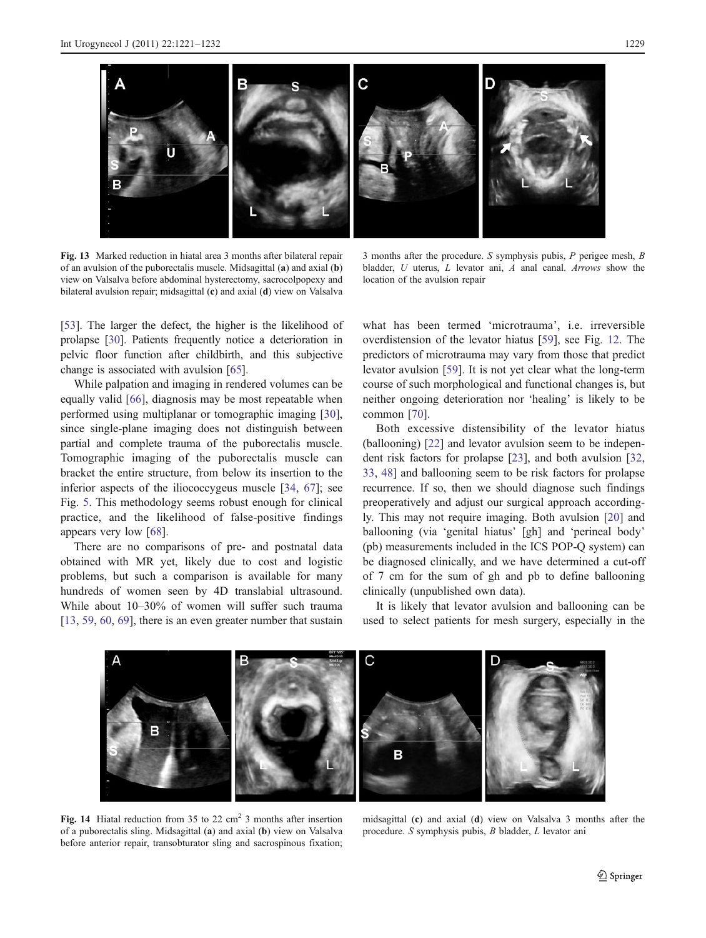<span id="page-8-0"></span>

Fig. 13 Marked reduction in hiatal area 3 months after bilateral repair of an avulsion of the puborectalis muscle. Midsagittal (a) and axial (b) view on Valsalva before abdominal hysterectomy, sacrocolpopexy and bilateral avulsion repair; midsagittal (c) and axial (d) view on Valsalva

[\[53\]](#page-10-0). The larger the defect, the higher is the likelihood of prolapse [[30](#page-10-0)]. Patients frequently notice a deterioration in pelvic floor function after childbirth, and this subjective change is associated with avulsion [\[65](#page-11-0)].

While palpation and imaging in rendered volumes can be equally valid [\[66](#page-11-0)], diagnosis may be most repeatable when performed using multiplanar or tomographic imaging [\[30](#page-10-0)], since single-plane imaging does not distinguish between partial and complete trauma of the puborectalis muscle. Tomographic imaging of the puborectalis muscle can bracket the entire structure, from below its insertion to the inferior aspects of the iliococcygeus muscle [[34,](#page-10-0) [67](#page-11-0)]; see Fig. [5](#page-3-0). This methodology seems robust enough for clinical practice, and the likelihood of false-positive findings appears very low [[68\]](#page-11-0).

There are no comparisons of pre- and postnatal data obtained with MR yet, likely due to cost and logistic problems, but such a comparison is available for many hundreds of women seen by 4D translabial ultrasound. While about 10–30% of women will suffer such trauma [\[13](#page-10-0), [59](#page-11-0), [60](#page-11-0), [69](#page-11-0)], there is an even greater number that sustain

3 months after the procedure. S symphysis pubis, P perigee mesh, B bladder, U uterus, L levator ani, A anal canal. Arrows show the location of the avulsion repair

what has been termed 'microtrauma', i.e. irreversible overdistension of the levator hiatus [\[59](#page-11-0)], see Fig. [12.](#page-7-0) The predictors of microtrauma may vary from those that predict levator avulsion [[59\]](#page-11-0). It is not yet clear what the long-term course of such morphological and functional changes is, but neither ongoing deterioration nor 'healing' is likely to be common [\[70](#page-11-0)].

Both excessive distensibility of the levator hiatus (ballooning) [\[22](#page-10-0)] and levator avulsion seem to be independent risk factors for prolapse [[23\]](#page-10-0), and both avulsion [[32,](#page-10-0) [33](#page-10-0), [48\]](#page-10-0) and ballooning seem to be risk factors for prolapse recurrence. If so, then we should diagnose such findings preoperatively and adjust our surgical approach accordingly. This may not require imaging. Both avulsion [[20\]](#page-10-0) and ballooning (via 'genital hiatus' [gh] and 'perineal body' (pb) measurements included in the ICS POP-Q system) can be diagnosed clinically, and we have determined a cut-off of 7 cm for the sum of gh and pb to define ballooning clinically (unpublished own data).

It is likely that levator avulsion and ballooning can be used to select patients for mesh surgery, especially in the



Fig. 14 Hiatal reduction from 35 to 22  $\text{cm}^2$  3 months after insertion of a puborectalis sling. Midsagittal (a) and axial (b) view on Valsalva before anterior repair, transobturator sling and sacrospinous fixation;

midsagittal (c) and axial (d) view on Valsalva 3 months after the procedure. S symphysis pubis, B bladder, L levator ani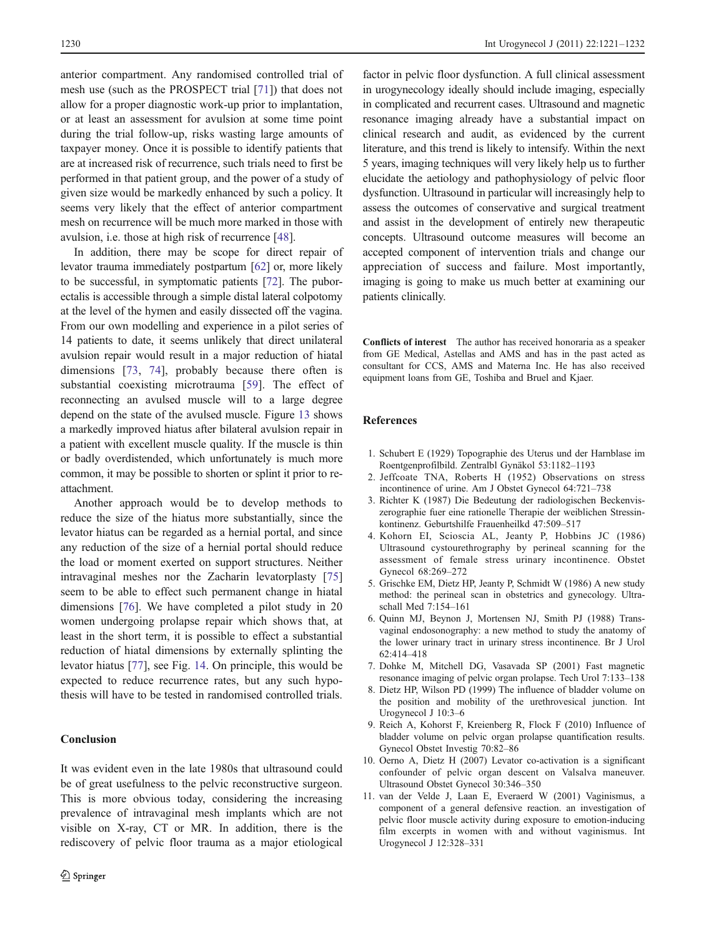<span id="page-9-0"></span>anterior compartment. Any randomised controlled trial of mesh use (such as the PROSPECT trial [\[71](#page-11-0)]) that does not allow for a proper diagnostic work-up prior to implantation, or at least an assessment for avulsion at some time point during the trial follow-up, risks wasting large amounts of taxpayer money. Once it is possible to identify patients that are at increased risk of recurrence, such trials need to first be performed in that patient group, and the power of a study of given size would be markedly enhanced by such a policy. It seems very likely that the effect of anterior compartment mesh on recurrence will be much more marked in those with avulsion, i.e. those at high risk of recurrence [\[48](#page-10-0)].

In addition, there may be scope for direct repair of levator trauma immediately postpartum [[62\]](#page-11-0) or, more likely to be successful, in symptomatic patients [[72\]](#page-11-0). The puborectalis is accessible through a simple distal lateral colpotomy at the level of the hymen and easily dissected off the vagina. From our own modelling and experience in a pilot series of 14 patients to date, it seems unlikely that direct unilateral avulsion repair would result in a major reduction of hiatal dimensions [[73,](#page-11-0) [74\]](#page-11-0), probably because there often is substantial coexisting microtrauma [[59\]](#page-11-0). The effect of reconnecting an avulsed muscle will to a large degree depend on the state of the avulsed muscle. Figure [13](#page-8-0) shows a markedly improved hiatus after bilateral avulsion repair in a patient with excellent muscle quality. If the muscle is thin or badly overdistended, which unfortunately is much more common, it may be possible to shorten or splint it prior to reattachment.

Another approach would be to develop methods to reduce the size of the hiatus more substantially, since the levator hiatus can be regarded as a hernial portal, and since any reduction of the size of a hernial portal should reduce the load or moment exerted on support structures. Neither intravaginal meshes nor the Zacharin levatorplasty [[75\]](#page-11-0) seem to be able to effect such permanent change in hiatal dimensions [[76\]](#page-11-0). We have completed a pilot study in 20 women undergoing prolapse repair which shows that, at least in the short term, it is possible to effect a substantial reduction of hiatal dimensions by externally splinting the levator hiatus [\[77](#page-11-0)], see Fig. [14.](#page-8-0) On principle, this would be expected to reduce recurrence rates, but any such hypothesis will have to be tested in randomised controlled trials.

# Conclusion

It was evident even in the late 1980s that ultrasound could be of great usefulness to the pelvic reconstructive surgeon. This is more obvious today, considering the increasing prevalence of intravaginal mesh implants which are not visible on X-ray, CT or MR. In addition, there is the rediscovery of pelvic floor trauma as a major etiological

factor in pelvic floor dysfunction. A full clinical assessment in urogynecology ideally should include imaging, especially in complicated and recurrent cases. Ultrasound and magnetic resonance imaging already have a substantial impact on clinical research and audit, as evidenced by the current literature, and this trend is likely to intensify. Within the next 5 years, imaging techniques will very likely help us to further elucidate the aetiology and pathophysiology of pelvic floor dysfunction. Ultrasound in particular will increasingly help to assess the outcomes of conservative and surgical treatment and assist in the development of entirely new therapeutic concepts. Ultrasound outcome measures will become an accepted component of intervention trials and change our appreciation of success and failure. Most importantly, imaging is going to make us much better at examining our patients clinically.

Conflicts of interest The author has received honoraria as a speaker from GE Medical, Astellas and AMS and has in the past acted as consultant for CCS, AMS and Materna Inc. He has also received equipment loans from GE, Toshiba and Bruel and Kjaer.

## References

- 1. Schubert E (1929) Topographie des Uterus und der Harnblase im Roentgenprofilbild. Zentralbl Gynäkol 53:1182–1193
- 2. Jeffcoate TNA, Roberts H (1952) Observations on stress incontinence of urine. Am J Obstet Gynecol 64:721–738
- 3. Richter K (1987) Die Bedeutung der radiologischen Beckenviszerographie fuer eine rationelle Therapie der weiblichen Stressinkontinenz. Geburtshilfe Frauenheilkd 47:509–517
- 4. Kohorn EI, Scioscia AL, Jeanty P, Hobbins JC (1986) Ultrasound cystourethrography by perineal scanning for the assessment of female stress urinary incontinence. Obstet Gynecol 68:269–272
- 5. Grischke EM, Dietz HP, Jeanty P, Schmidt W (1986) A new study method: the perineal scan in obstetrics and gynecology. Ultraschall Med 7:154–161
- 6. Quinn MJ, Beynon J, Mortensen NJ, Smith PJ (1988) Transvaginal endosonography: a new method to study the anatomy of the lower urinary tract in urinary stress incontinence. Br J Urol 62:414–418
- 7. Dohke M, Mitchell DG, Vasavada SP (2001) Fast magnetic resonance imaging of pelvic organ prolapse. Tech Urol 7:133–138
- 8. Dietz HP, Wilson PD (1999) The influence of bladder volume on the position and mobility of the urethrovesical junction. Int Urogynecol J 10:3–6
- 9. Reich A, Kohorst F, Kreienberg R, Flock F (2010) Influence of bladder volume on pelvic organ prolapse quantification results. Gynecol Obstet Investig 70:82–86
- 10. Oerno A, Dietz H (2007) Levator co-activation is a significant confounder of pelvic organ descent on Valsalva maneuver. Ultrasound Obstet Gynecol 30:346–350
- 11. van der Velde J, Laan E, Everaerd W (2001) Vaginismus, a component of a general defensive reaction. an investigation of pelvic floor muscle activity during exposure to emotion-inducing film excerpts in women with and without vaginismus. Int Urogynecol J 12:328–331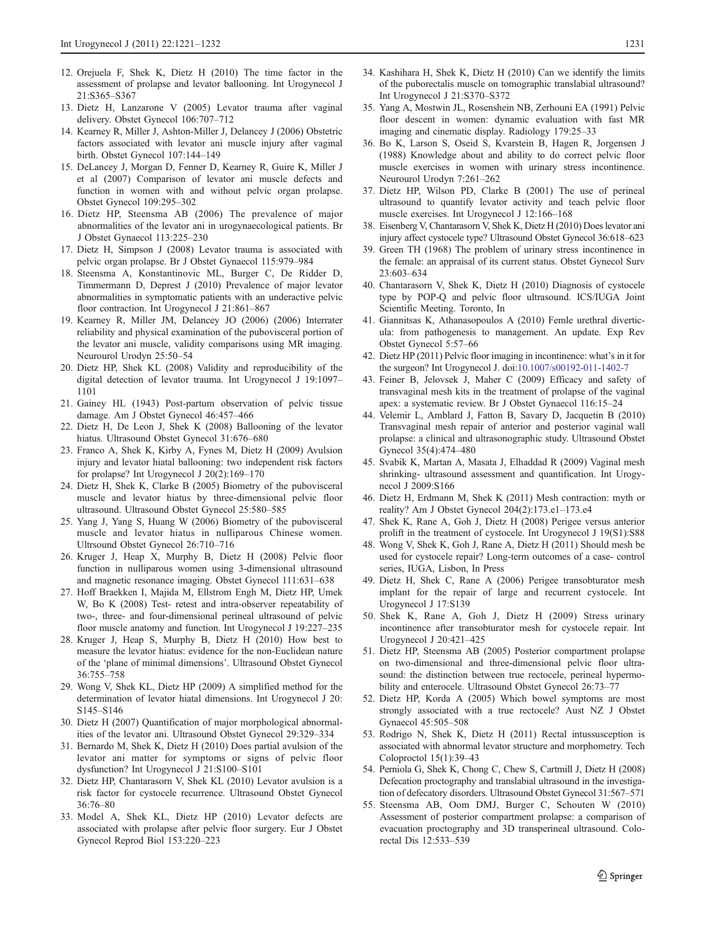- <span id="page-10-0"></span>12. Orejuela F, Shek K, Dietz H (2010) The time factor in the assessment of prolapse and levator ballooning. Int Urogynecol J 21:S365–S367
- 13. Dietz H, Lanzarone V (2005) Levator trauma after vaginal delivery. Obstet Gynecol 106:707–712
- 14. Kearney R, Miller J, Ashton-Miller J, Delancey J (2006) Obstetric factors associated with levator ani muscle injury after vaginal birth. Obstet Gynecol 107:144–149
- 15. DeLancey J, Morgan D, Fenner D, Kearney R, Guire K, Miller J et al (2007) Comparison of levator ani muscle defects and function in women with and without pelvic organ prolapse. Obstet Gynecol 109:295–302
- 16. Dietz HP, Steensma AB (2006) The prevalence of major abnormalities of the levator ani in urogynaecological patients. Br J Obstet Gynaecol 113:225–230
- 17. Dietz H, Simpson J (2008) Levator trauma is associated with pelvic organ prolapse. Br J Obstet Gynaecol 115:979–984
- 18. Steensma A, Konstantinovic ML, Burger C, De Ridder D, Timmermann D, Deprest J (2010) Prevalence of major levator abnormalities in symptomatic patients with an underactive pelvic floor contraction. Int Urogynecol J 21:861–867
- 19. Kearney R, Miller JM, Delancey JO (2006) (2006) Interrater reliability and physical examination of the pubovisceral portion of the levator ani muscle, validity comparisons using MR imaging. Neurourol Urodyn 25:50–54
- 20. Dietz HP, Shek KL (2008) Validity and reproducibility of the digital detection of levator trauma. Int Urogynecol J 19:1097– 1101
- 21. Gainey HL (1943) Post-partum observation of pelvic tissue damage. Am J Obstet Gynecol 46:457–466
- 22. Dietz H, De Leon J, Shek K (2008) Ballooning of the levator hiatus. Ultrasound Obstet Gynecol 31:676–680
- 23. Franco A, Shek K, Kirby A, Fynes M, Dietz H (2009) Avulsion injury and levator hiatal ballooning: two independent risk factors for prolapse? Int Urogynecol J 20(2):169–170
- 24. Dietz H, Shek K, Clarke B (2005) Biometry of the pubovisceral muscle and levator hiatus by three-dimensional pelvic floor ultrasound. Ultrasound Obstet Gynecol 25:580–585
- 25. Yang J, Yang S, Huang W (2006) Biometry of the pubovisceral muscle and levator hiatus in nulliparous Chinese women. Ultrsound Obstet Gynecol 26:710–716
- 26. Kruger J, Heap X, Murphy B, Dietz H (2008) Pelvic floor function in nulliparous women using 3-dimensional ultrasound and magnetic resonance imaging. Obstet Gynecol 111:631–638
- 27. Hoff Braekken I, Majida M, Ellstrom Engh M, Dietz HP, Umek W, Bo K (2008) Test- retest and intra-observer repeatability of two-, three- and four-dimensional perineal ultrasound of pelvic floor muscle anatomy and function. Int Urogynecol J 19:227–235
- 28. Kruger J, Heap S, Murphy B, Dietz H (2010) How best to measure the levator hiatus: evidence for the non-Euclidean nature of the 'plane of minimal dimensions'. Ultrasound Obstet Gynecol 36:755–758
- 29. Wong V, Shek KL, Dietz HP (2009) A simplified method for the determination of levator hiatal dimensions. Int Urogynecol J 20: S145–S146
- 30. Dietz H (2007) Quantification of major morphological abnormalities of the levator ani. Ultrasound Obstet Gynecol 29:329–334
- 31. Bernardo M, Shek K, Dietz H (2010) Does partial avulsion of the levator ani matter for symptoms or signs of pelvic floor dysfunction? Int Urogynecol J 21:S100–S101
- 32. Dietz HP, Chantarasorn V, Shek KL (2010) Levator avulsion is a risk factor for cystocele recurrence. Ultrasound Obstet Gynecol 36:76–80
- 33. Model A, Shek KL, Dietz HP (2010) Levator defects are associated with prolapse after pelvic floor surgery. Eur J Obstet Gynecol Reprod Biol 153:220–223
- 34. Kashihara H, Shek K, Dietz H (2010) Can we identify the limits of the puborectalis muscle on tomographic translabial ultrasound? Int Urogynecol J 21:S370–S372
- 35. Yang A, Mostwin JL, Rosenshein NB, Zerhouni EA (1991) Pelvic floor descent in women: dynamic evaluation with fast MR imaging and cinematic display. Radiology 179:25–33
- 36. Bo K, Larson S, Oseid S, Kvarstein B, Hagen R, Jorgensen J (1988) Knowledge about and ability to do correct pelvic floor muscle exercises in women with urinary stress incontinence. Neurourol Urodyn 7:261–262
- 37. Dietz HP, Wilson PD, Clarke B (2001) The use of perineal ultrasound to quantify levator activity and teach pelvic floor muscle exercises. Int Urogynecol J 12:166–168
- 38. Eisenberg V, Chantarasorn V, Shek K, Dietz H (2010) Does levator ani injury affect cystocele type? Ultrasound Obstet Gynecol 36:618–623
- 39. Green TH (1968) The problem of urinary stress incontinence in the female: an appraisal of its current status. Obstet Gynecol Surv 23:603–634
- 40. Chantarasorn V, Shek K, Dietz H (2010) Diagnosis of cystocele type by POP-Q and pelvic floor ultrasound. ICS/IUGA Joint Scientific Meeting. Toronto, In
- 41. Giannitsas K, Athanasopoulos A (2010) Femle urethral diverticula: from pathogenesis to management. An update. Exp Rev Obstet Gynecol 5:57–66
- 42. Dietz HP (2011) Pelvic floor imaging in incontinence: what's in it for the surgeon? Int Urogynecol J. doi:[10.1007/s00192-011-1402-7](http://dx.doi.org/10.1007/s00192-011-1402-7)
- 43. Feiner B, Jelovsek J, Maher C (2009) Efficacy and safety of transvaginal mesh kits in the treatment of prolapse of the vaginal apex: a systematic review. Br J Obstet Gynaecol 116:15–24
- 44. Velemir L, Amblard J, Fatton B, Savary D, Jacquetin B (2010) Transvaginal mesh repair of anterior and posterior vaginal wall prolapse: a clinical and ultrasonographic study. Ultrasound Obstet Gynecol 35(4):474–480
- 45. Svabik K, Martan A, Masata J, Elhaddad R (2009) Vaginal mesh shrinking- ultrasound assessment and quantification. Int Urogynecol J 2009:S166
- 46. Dietz H, Erdmann M, Shek K (2011) Mesh contraction: myth or reality? Am J Obstet Gynecol 204(2):173.e1–173.e4
- 47. Shek K, Rane A, Goh J, Dietz H (2008) Perigee versus anterior prolift in the treatment of cystocele. Int Urogynecol J 19(S1):S88
- 48. Wong V, Shek K, Goh J, Rane A, Dietz H (2011) Should mesh be used for cystocele repair? Long-term outcomes of a case- control series, IUGA, Lisbon, In Press
- 49. Dietz H, Shek C, Rane A (2006) Perigee transobturator mesh implant for the repair of large and recurrent cystocele. Int Urogynecol J 17:S139
- 50. Shek K, Rane A, Goh J, Dietz H (2009) Stress urinary incontinence after transobturator mesh for cystocele repair. Int Urogynecol J 20:421–425
- 51. Dietz HP, Steensma AB (2005) Posterior compartment prolapse on two-dimensional and three-dimensional pelvic floor ultrasound: the distinction between true rectocele, perineal hypermobility and enterocele. Ultrasound Obstet Gynecol 26:73–77
- 52. Dietz HP, Korda A (2005) Which bowel symptoms are most strongly associated with a true rectocele? Aust NZ J Obstet Gynaecol 45:505–508
- 53. Rodrigo N, Shek K, Dietz H (2011) Rectal intussusception is associated with abnormal levator structure and morphometry. Tech Coloproctol 15(1):39–43
- 54. Perniola G, Shek K, Chong C, Chew S, Cartmill J, Dietz H (2008) Defecation proctography and translabial ultrasound in the investigation of defecatory disorders. Ultrasound Obstet Gynecol 31:567–571
- 55. Steensma AB, Oom DMJ, Burger C, Schouten W (2010) Assessment of posterior compartment prolapse: a comparison of evacuation proctography and 3D transperineal ultrasound. Colorectal Dis 12:533–539